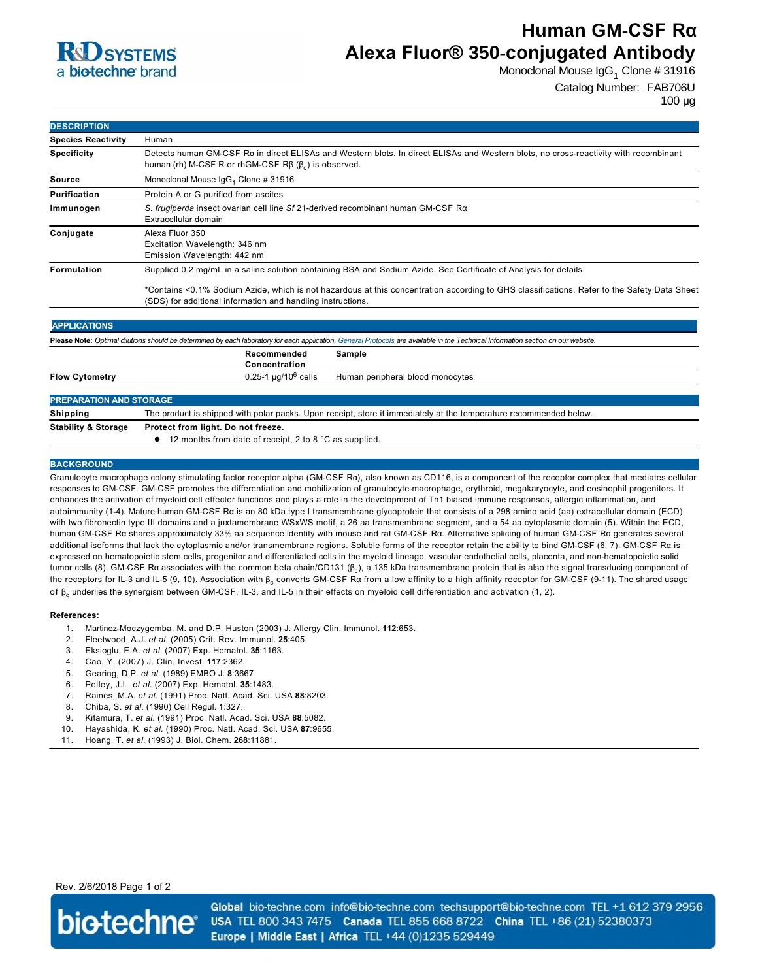

# **Human GM-CSF Rα Alexa Fluor® 350-conjugated Antibody**

Monoclonal Mouse IgG $_1$  Clone # 31916

Catalog Number: FAB706U

| <b>DESCRIPTION</b>        |                                                                                                                                                                                                          |  |
|---------------------------|----------------------------------------------------------------------------------------------------------------------------------------------------------------------------------------------------------|--|
| <b>Species Reactivity</b> | Human                                                                                                                                                                                                    |  |
| <b>Specificity</b>        | Detects human GM-CSF Ra in direct ELISAs and Western blots. In direct ELISAs and Western blots, no cross-reactivity with recombinant<br>human (rh) M-CSF R or rhGM-CSF $R\beta$ ( $\beta$ ) is observed. |  |
| Source                    | Monoclonal Mouse IgG <sub>1</sub> Clone # 31916                                                                                                                                                          |  |
| Purification              | Protein A or G purified from ascites                                                                                                                                                                     |  |
| Immunogen                 | S. frugiperda insect ovarian cell line Sf 21-derived recombinant human GM-CSF R $\alpha$<br>Extracellular domain                                                                                         |  |
| Conjugate                 | Alexa Fluor 350<br>Excitation Wavelength: 346 nm<br>Emission Wavelength: 442 nm                                                                                                                          |  |
| <b>Formulation</b>        | Supplied 0.2 mg/mL in a saline solution containing BSA and Sodium Azide. See Certificate of Analysis for details.                                                                                        |  |
|                           | *Contains <0.1% Sodium Azide, which is not hazardous at this concentration according to GHS classifications. Refer to the Safety Data Sheet                                                              |  |

(SDS) for additional information and handling instructions. **APPLICATIONS Please Note:** *Optimal dilutions should be determined by each laboratory for each application. [General Protocols](http://www.rndsystems.com/resources/protocols-troubleshooting-guides) are available in the Technical Information section on our website.* **Recommended Sample**

|                       | Concentration                      |                                  |
|-----------------------|------------------------------------|----------------------------------|
| <b>Flow Cytometry</b> | $0.25$ -1 µg/10 <sup>6</sup> cells | Human peripheral blood monocytes |
|                       |                                    |                                  |

## **PREPARATION AND STORAGE Shipping** The product is shipped with polar packs. Upon receipt, store it immediately at the temperature recommended below. **Stability & Storage Protect from light. Do not freeze.** ● 12 months from date of receipt, 2 to 8 °C as supplied.

### **BACKGROUND**

Granulocyte macrophage colony stimulating factor receptor alpha (GM-CSF Ra), also known as CD116, is a component of the receptor complex that mediates cellular responses to GM-CSF. GM-CSF promotes the differentiation and mobilization of granulocyte-macrophage, erythroid, megakaryocyte, and eosinophil progenitors. It enhances the activation of myeloid cell effector functions and plays a role in the development of Th1 biased immune responses, allergic inflammation, and autoimmunity (14). Mature human GMCSF Rα is an 80 kDa type I transmembrane glycoprotein that consists of a 298 amino acid (aa) extracellular domain (ECD) with two fibronectin type III domains and a juxtamembrane WSxWS motif, a 26 aa transmembrane segment, and a 54 aa cytoplasmic domain (5). Within the ECD, human GMCSF Rα shares approximately 33% aa sequence identity with mouse and rat GMCSF Rα. Alternative splicing of human GMCSF Rα generates several additional isoforms that lack the cytoplasmic and/or transmembrane regions. Soluble forms of the receptor retain the ability to bind GMCSF (6, 7). GMCSF Rα is expressed on hematopoietic stem cells, progenitor and differentiated cells in the myeloid lineage, vascular endothelial cells, placenta, and nonhematopoietic solid tumor cells (8). GM-CSF Rα associates with the common beta chain/CD131 (β<sub>c</sub>), a 135 kDa transmembrane protein that is also the signal transducing component of the receptors for IL-3 and IL-5 (9, 10). Association with β<sub>c</sub> converts GM-CSF Rα from a low affinity to a high affinity receptor for GM-CSF (9-11). The shared usage of β<sub>c</sub> underlies the synergism between GM-CSF, IL-3, and IL-5 in their effects on myeloid cell differentiation and activation (1, 2).

#### **References:**

- 1. Martinez-Moczygemba, M. and D.P. Huston (2003) J. Allergy Clin. Immunol. **112**:653.
- 2. Fleetwood, A.J. *et al.* (2005) Crit. Rev. Immunol. **25**:405.
- 3. Eksioglu, E.A. *et al.* (2007) Exp. Hematol. **35**:1163.
- 4. Cao, Y. (2007) J. Clin. Invest. **117**:2362.
- 5. Gearing, D.P. *et al.* (1989) EMBO J. **8**:3667.
- 6. Pelley, J.L. *et al.* (2007) Exp. Hematol. **35**:1483.
- 7. Raines, M.A. *et al.* (1991) Proc. Natl. Acad. Sci. USA **88**:8203.
- 8. Chiba, S. *et al.* (1990) Cell Regul. **1**:327.
- 9. Kitamura, T. *et al.* (1991) Proc. Natl. Acad. Sci. USA **88**:5082.
- 10. Hayashida, K. *et al.* (1990) Proc. Natl. Acad. Sci. USA **87**:9655.
- 11. Hoang, T. *et al.* (1993) J. Biol. Chem. **268**:11881.

## Rev. 2/6/2018 Page 1 of 2



Global bio-techne.com info@bio-techne.com techsupport@bio-techne.com TEL +1 612 379 2956 USA TEL 800 343 7475 Canada TEL 855 668 8722 China TEL +86 (21) 52380373 Europe | Middle East | Africa TEL +44 (0)1235 529449